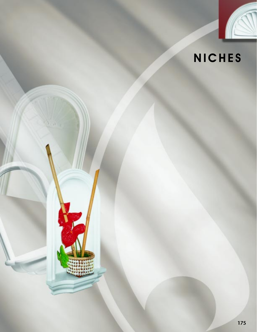

# **NICHES**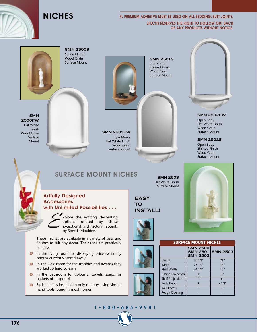

#### PL PREMIUM ADHESIVE MUST BE USED ON ALL BEDDING/BUTT JOINTS. SPECTIS RESERVES THE RIGHT TO HOLLOW OUT BACK OF ANY PRODUCTS WITHOUT NOTICE.



**SMN 2500S** Stained Finish Wood Grain Surface Mount

**SMN 2500FW** Flat White Finish Wood Grain Surface Mount

### **SMN 2501FW**

c/w Mirror Flat White Finish Wood Grain Surface Mount

#### **SMN 2501S** c/w Mirror Stained Finish Wood Grain Surface Mount



NOTICE :

**SMN 2502FW**

Open Body Flat White Finish Wood Grain Surface Mount

**SMN 2502S**

Open Body Stained Finish Wood Grain Surface Mount



#### Artfully Designed **Accessories** with Unlimited Possibilities . . .



Explore the exciting decorating<br>options offered by these<br>exceptional architectural accents<br>by Spectis Moulders. options offered by these exceptional architectural accents by Spectis Moulders.

SURFACE MOUNT NICHES

These niches are available in a variety of sizes and finishes to suit any decor. Their uses are practically limitless:

- $\bullet$  In the living room for displaying priceless family photos currently stored away
- $\bigcirc$  In the kids' room for the trophies and awards they worked so hard to earn
- In the bathroom for colourful towels, soaps, or baskets of potpourri
- Each niche is installed in only minutes using simple hand tools found in most homes

**EASY**

**SMN 2503** Flat White Finish Surface Mount

**TO INSTALL!**







**Wall Recess Rough Opening** 

| <b>SURFACE MOUNT NICHES</b> |                                                       |                 |
|-----------------------------|-------------------------------------------------------|-----------------|
|                             | <b>SMN 2500</b><br><b>SMN 2501</b><br><b>SMN 2502</b> | <b>SMN 2503</b> |
| <b>Height</b>               | 40 1/2"                                               | 21''            |
| Width                       | 231/2"                                                | 14''            |
| <b>Shelf Width</b>          | 243//4''                                              | 15''            |
| <b>Casing Projection</b>    | 4 <sup>''</sup>                                       | 3''             |
| <b>Shelf Projection</b>     | 11''                                                  | 6"              |
| <b>Body Depth</b>           | 3''                                                   | 21/2"           |

#### **1 • 8 0 0 • 6 8 5 • 9 9 8 1**